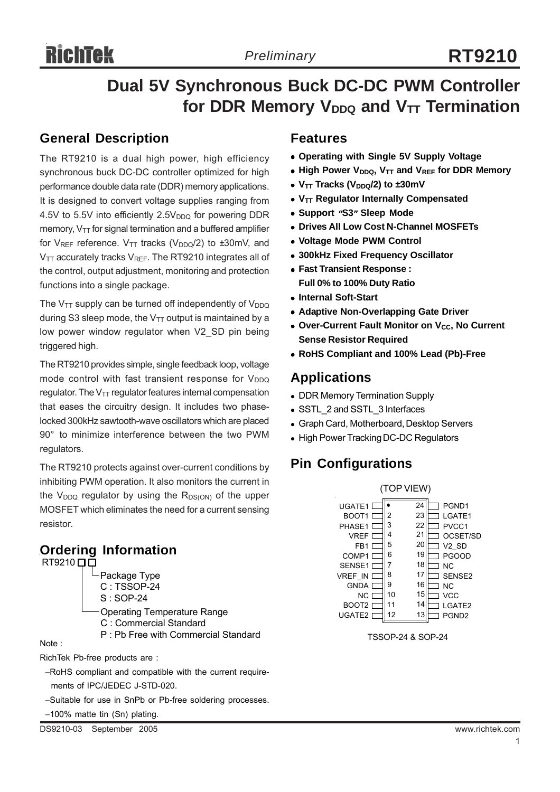# **Dual 5V Synchronous Buck DC-DC PWM Controller for DDR Memory V<sub>DDQ</sub> and V<sub>TT</sub> Termination**

## **General Description**

The RT9210 is a dual high power, high efficiency synchronous buck DC-DC controller optimized for high performance double data rate (DDR) memory applications. It is designed to convert voltage supplies ranging from 4.5V to 5.5V into efficiently  $2.5V<sub>DDQ</sub>$  for powering DDR memory,  $V_{TT}$  for signal termination and a buffered amplifier for  $V_{REF}$  reference.  $V_{TT}$  tracks ( $V_{DDQ}/2$ ) to  $\pm 30$ mV, and  $V_{TT}$  accurately tracks  $V_{REF}$ . The RT9210 integrates all of the control, output adjustment, monitoring and protection functions into a single package.

The  $V_{TT}$  supply can be turned off independently of  $V_{DDQ}$ during S3 sleep mode, the  $V_{TT}$  output is maintained by a low power window regulator when V2 SD pin being triggered high.

The RT9210 provides simple, single feedback loop, voltage mode control with fast transient response for  $V_{DDQ}$ regulator. The  $V_{TT}$  regulator features internal compensation that eases the circuitry design. It includes two phaselocked 300kHz sawtooth-wave oscillators which are placed 90° to minimize interference between the two PWM regulators.

The RT9210 protects against over-current conditions by inhibiting PWM operation. It also monitors the current in the  $V_{DDQ}$  regulator by using the  $R_{DS(ON)}$  of the upper MOSFET which eliminates the need for a current sensing resistor.

# **Ordering Information**

 $RT9210$  $\Box$  $\Box$ 

Package Type C : TSSOP-24 S : SOP-24 Operating Temperature Range C : Commercial Standard P : Pb Free with Commercial Standard

Note :

RichTek Pb-free products are :

−RoHS compliant and compatible with the current require ments of IPC/JEDEC J-STD-020.

−Suitable for use in SnPb or Pb-free soldering processes.

−100% matte tin (Sn) plating.

#### **Features**

- **Operating with Single 5V Supply Voltage**
- $\bullet$  High Power V<sub>DDQ</sub>, V<sub>TT</sub> and V<sub>REF</sub> for DDR Memory
- $V_{TT}$  Tracks ( $V_{DDQ}/2$ ) to  $\pm 30$ mV
- **VTT Regulator Internally Compensated**
- <sup>z</sup> **Support "S3" Sleep Mode**
- **. Drives All Low Cost N-Channel MOSFETs**
- <sup>z</sup> **Voltage Mode PWM Control**
- <sup>z</sup> **300kHz Fixed Frequency Oscillator**
- <sup>z</sup> **Fast Transient Response : Full 0% to 100% Duty Ratio**
- **Internal Soft-Start**
- **Adaptive Non-Overlapping Gate Driver**
- **Over-Current Fault Monitor on V<sub>CC</sub>, No Current Sense Resistor Required**
- <sup>z</sup> **RoHS Compliant and 100% Lead (Pb)-Free**

### **Applications**

- DDR Memory Termination Supply
- SSTL\_2 and SSTL\_3 Interfaces
- Graph Card, Motherboard, Desktop Servers
- High Power Tracking DC-DC Regulators

# **Pin Configurations**



TSSOP-24 & SOP-24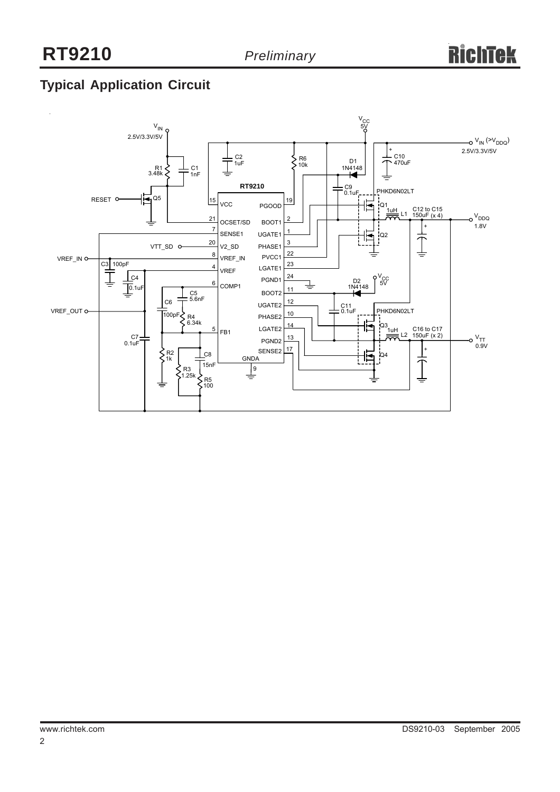# **Typical AppIication Circuit**

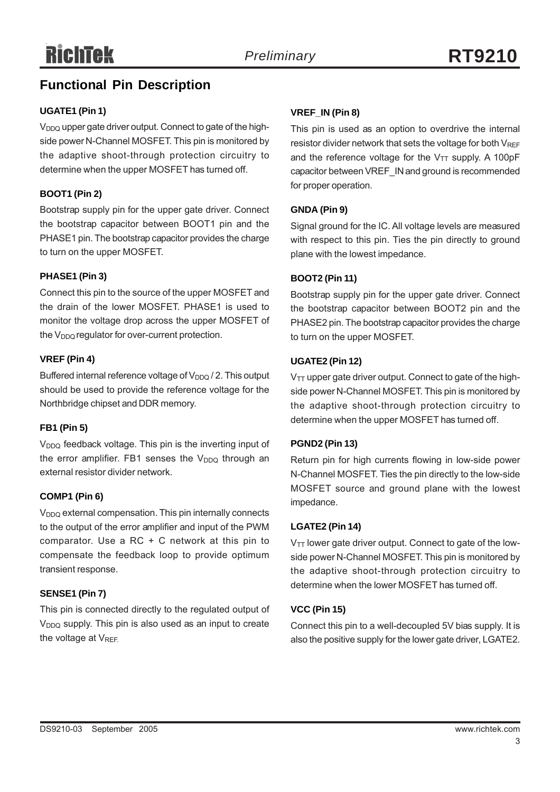# **Functional Pin Description**

#### **UGATE1 (Pin 1)**

V<sub>DDQ</sub> upper gate driver output. Connect to gate of the highside power N-Channel MOSFET. This pin is monitored by the adaptive shoot-through protection circuitry to determine when the upper MOSFET has turned off.

#### **BOOT1 (Pin 2)**

Bootstrap supply pin for the upper gate driver. Connect the bootstrap capacitor between BOOT1 pin and the PHASE1 pin. The bootstrap capacitor provides the charge to turn on the upper MOSFET.

#### **PHASE1 (Pin 3)**

Connect this pin to the source of the upper MOSFET and the drain of the lower MOSFET. PHASE1 is used to monitor the voltage drop across the upper MOSFET of the  $V_{DDQ}$  regulator for over-current protection.

#### **VREF (Pin 4)**

Buffered internal reference voltage of V<sub>DDQ</sub> / 2. This output should be used to provide the reference voltage for the Northbridge chipset and DDR memory.

#### **FB1 (Pin 5)**

V<sub>DDQ</sub> feedback voltage. This pin is the inverting input of the error amplifier. FB1 senses the  $V_{DDQ}$  through an external resistor divider network.

#### **COMP1 (Pin 6)**

V<sub>DDQ</sub> external compensation. This pin internally connects to the output of the error amplifier and input of the PWM comparator. Use a RC + C network at this pin to compensate the feedback loop to provide optimum transient response.

#### **SENSE1 (Pin 7)**

This pin is connected directly to the regulated output of  $V_{DDQ}$  supply. This pin is also used as an input to create the voltage at  $V_{REF}$ .

#### **VREF\_IN (Pin 8)**

This pin is used as an option to overdrive the internal resistor divider network that sets the voltage for both  $V_{REF}$ and the reference voltage for the  $V_{TT}$  supply. A 100pF capacitor between VREF\_IN and ground is recommended for proper operation.

#### **GNDA (Pin 9)**

Signal ground for the IC. All voltage levels are measured with respect to this pin. Ties the pin directly to ground plane with the lowest impedance.

#### **BOOT2 (Pin 11)**

Bootstrap supply pin for the upper gate driver. Connect the bootstrap capacitor between BOOT2 pin and the PHASE2 pin. The bootstrap capacitor provides the charge to turn on the upper MOSFET.

#### **UGATE2 (Pin 12)**

 $V_{TT}$  upper gate driver output. Connect to gate of the highside power N-Channel MOSFET. This pin is monitored by the adaptive shoot-through protection circuitry to determine when the upper MOSFET has turned off.

#### **PGND2 (Pin 13)**

Return pin for high currents flowing in low-side power N-Channel MOSFET. Ties the pin directly to the low-side MOSFET source and ground plane with the lowest impedance.

#### **LGATE2 (Pin 14)**

V<sub>TT</sub> lower gate driver output. Connect to gate of the lowside power N-Channel MOSFET. This pin is monitored by the adaptive shoot-through protection circuitry to determine when the lower MOSFET has turned off.

#### **VCC (Pin 15)**

Connect this pin to a well-decoupled 5V bias supply. It is also the positive supply for the lower gate driver, LGATE2.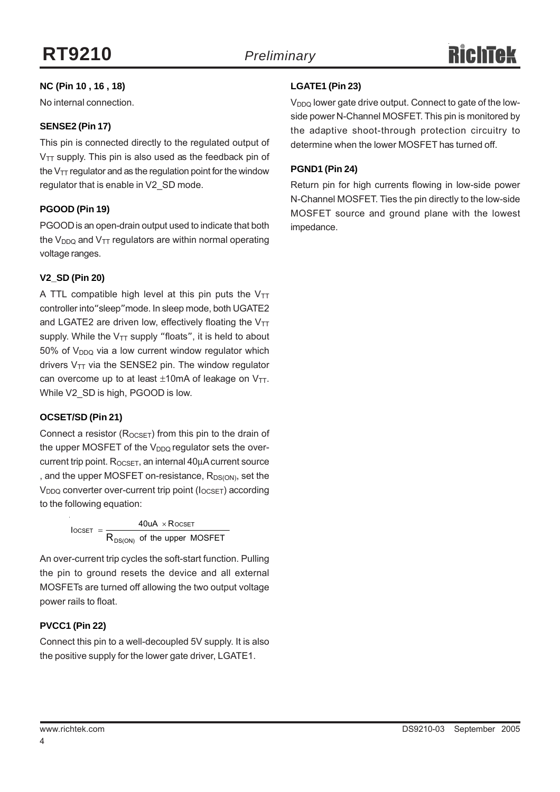#### **NC (Pin 10 , 16 , 18)**

No internal connection.

#### **SENSE2 (Pin 17)**

This pin is connected directly to the regulated output of  $V_{TT}$  supply. This pin is also used as the feedback pin of the  $V_{TT}$  regulator and as the regulation point for the window regulator that is enable in V2\_SD mode.

#### **PGOOD (Pin 19)**

PGOOD is an open-drain output used to indicate that both the  $V_{DDQ}$  and  $V_{TT}$  regulators are within normal operating voltage ranges.

#### **V2\_SD (Pin 20)**

A TTL compatible high level at this pin puts the  $V_{TT}$ controller into"sleep"mode. In sleep mode, both UGATE2 and LGATE2 are driven low, effectively floating the  $V_{TT}$ supply. While the  $V_{TT}$  supply "floats", it is held to about  $50\%$  of  $V<sub>DDO</sub>$  via a low current window regulator which drivers  $V_{TT}$  via the SENSE2 pin. The window regulator can overcome up to at least  $\pm 10$ mA of leakage on V<sub>TT</sub>. While V2 SD is high, PGOOD is low.

#### **OCSET/SD (Pin 21)**

Connect a resistor ( $R_{OCSET}$ ) from this pin to the drain of the upper MOSFET of the  $V_{DDQ}$  regulator sets the overcurrent trip point.  $R_{OCSET}$ , an internal  $40\mu A$  current source , and the upper MOSFET on-resistance, R<sub>DS(ON)</sub>, set the V<sub>DDQ</sub> converter over-current trip point ( $I_{OCSET}$ ) according to the following equation:

> of the upper MOSFET  $\text{locser} = \frac{40uA \times R}{40uA \times R}$ DS(ON)  $\text{OCSET} = \frac{40 \text{UA} \times \text{ROCSET}}{R_{\text{DS(ON)}} \text{ of the upper N}}$  $=\frac{40uA \times}{2}$

An over-current trip cycles the soft-start function. Pulling the pin to ground resets the device and all external MOSFETs are turned off allowing the two output voltage power rails to float.

#### **PVCC1 (Pin 22)**

Connect this pin to a well-decoupled 5V supply. It is also the positive supply for the lower gate driver, LGATE1.

#### **LGATE1 (Pin 23)**

 $V<sub>DDO</sub>$  lower gate drive output. Connect to gate of the lowside power N-Channel MOSFET. This pin is monitored by the adaptive shoot-through protection circuitry to determine when the lower MOSFET has turned off.

#### **PGND1 (Pin 24)**

Return pin for high currents flowing in low-side power N-Channel MOSFET. Ties the pin directly to the low-side MOSFET source and ground plane with the lowest impedance.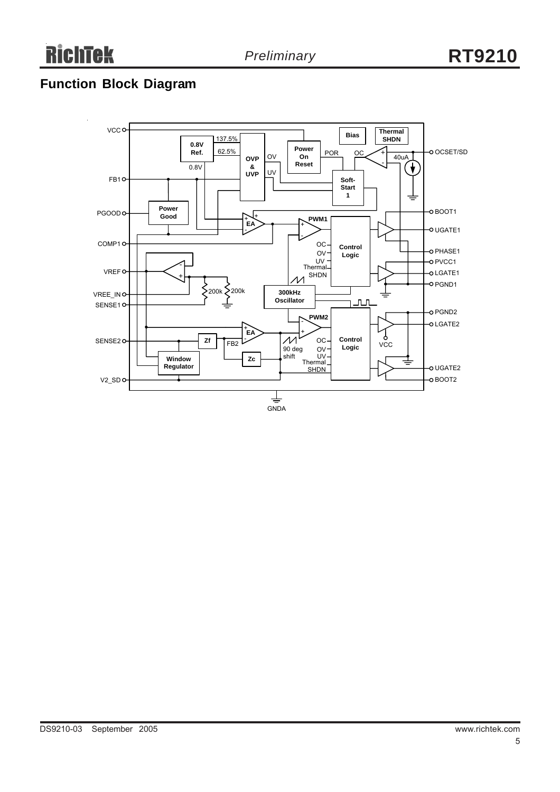# **Function Block Diagram**

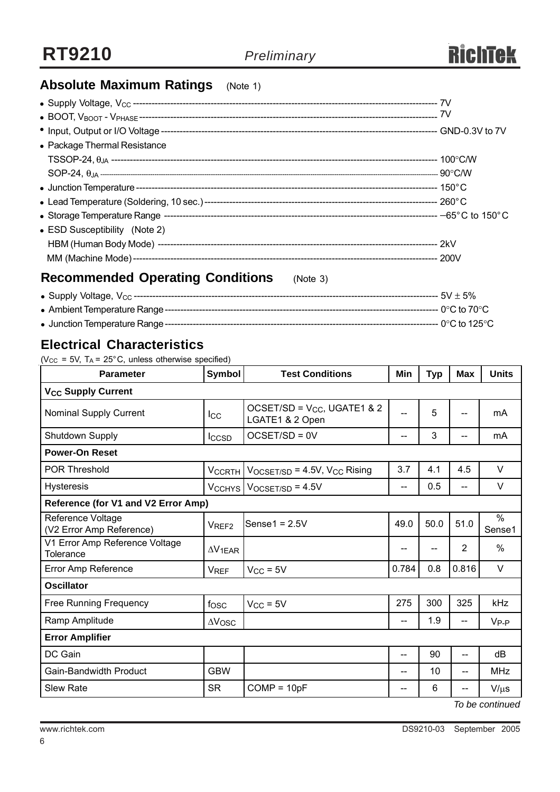

# **Absolute Maximum Ratings** (Note 1)

| • Package Thermal Resistance                        |  |
|-----------------------------------------------------|--|
|                                                     |  |
|                                                     |  |
|                                                     |  |
|                                                     |  |
|                                                     |  |
| • ESD Susceptibility (Note 2)                       |  |
|                                                     |  |
|                                                     |  |
| <b>Recommended Operating Conditions</b><br>(Note 3) |  |

<sup>z</sup> Supply Voltage, VCC -------------------------------------------------------------------------------------------------- 5V ± 5% <sup>z</sup> Ambient Temperature Range---------------------------------------------------------------------------------------- 0°C to 70°C <sup>z</sup> Junction Temperature Range---------------------------------------------------------------------------------------- 0°C to 125°C

### **Electrical Characteristics**

( $V_{CC}$  = 5V, T<sub>A</sub> = 25°C, unless otherwise specified)

| <b>Parameter</b>                              | <b>Symbol</b>          | <b>Test Conditions</b>                              | Min   | <b>Typ</b> | <b>Max</b>               | <b>Units</b>   |  |  |
|-----------------------------------------------|------------------------|-----------------------------------------------------|-------|------------|--------------------------|----------------|--|--|
| <b>V<sub>CC</sub> Supply Current</b>          |                        |                                                     |       |            |                          |                |  |  |
| <b>Nominal Supply Current</b>                 | Icc                    | OCSET/SD = $V_{CC}$ , UGATE1 & 2<br>LGATE1 & 2 Open | --    | 5          | --                       | mA             |  |  |
| Shutdown Supply                               | <b>I</b> CCSD          | OCSET/SD = 0V                                       | $-$   | 3          | --                       | mA             |  |  |
| <b>Power-On Reset</b>                         |                        |                                                     |       |            |                          |                |  |  |
| <b>POR Threshold</b>                          | <b>VCCRTH</b>          | $V_{OCSET/SD}$ = 4.5V, $V_{CC}$ Rising              | 3.7   | 4.1        | 4.5                      | $\vee$         |  |  |
| <b>Hysteresis</b>                             |                        | $V_{\text{CCHYS}}$   $V_{\text{OCSET/SD}}$ = 4.5V   | $-$   | 0.5        | $\overline{a}$           | V              |  |  |
| Reference (for V1 and V2 Error Amp)           |                        |                                                     |       |            |                          |                |  |  |
| Reference Voltage<br>(V2 Error Amp Reference) | V <sub>REF2</sub>      | Sense $1 = 2.5V$                                    | 49.0  | 50.0       | 51.0                     | $\%$<br>Sense1 |  |  |
| V1 Error Amp Reference Voltage<br>Tolerance   | $\Delta V_{1EAR}$      |                                                     | --    |            | $\overline{2}$           | $\%$           |  |  |
| Error Amp Reference                           | <b>V<sub>REF</sub></b> | $V_{CC}$ = 5V                                       | 0.784 | 0.8        | 0.816                    | $\vee$         |  |  |
| <b>Oscillator</b>                             |                        |                                                     |       |            |                          |                |  |  |
| Free Running Frequency                        | f <sub>OSC</sub>       | $V_{CC}$ = 5V                                       | 275   | 300        | 325                      | kHz            |  |  |
| Ramp Amplitude                                | $\Delta V$ OSC         |                                                     | --    | 1.9        | $\overline{\phantom{a}}$ | $V_{P-P}$      |  |  |
| <b>Error Amplifier</b>                        |                        |                                                     |       |            |                          |                |  |  |
| DC Gain                                       |                        |                                                     | --    | 90         | --                       | dВ             |  |  |
| Gain-Bandwidth Product                        | <b>GBW</b>             |                                                     | --    | 10         | --                       | <b>MHz</b>     |  |  |
| <b>Slew Rate</b>                              | <b>SR</b>              | $COMP = 10pF$                                       | $- -$ | 6          | --                       | $V/\mu s$      |  |  |
| To be continued                               |                        |                                                     |       |            |                          |                |  |  |

6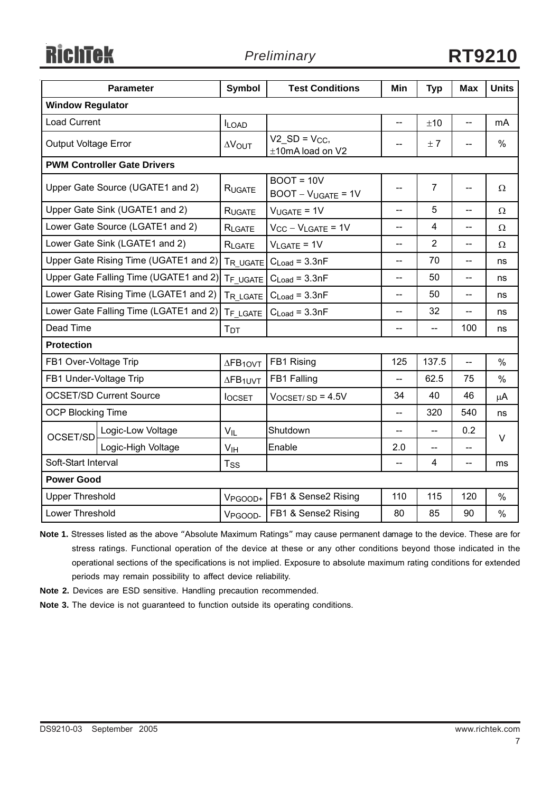**RichTek** 

# *Preliminary* **RT9210**

|                                        | <b>Parameter</b>                       | <b>Symbol</b>               | <b>Test Conditions</b>                                | Min                      | <b>Typ</b>              | <b>Max</b>               | <b>Units</b>  |  |
|----------------------------------------|----------------------------------------|-----------------------------|-------------------------------------------------------|--------------------------|-------------------------|--------------------------|---------------|--|
| <b>Window Regulator</b>                |                                        |                             |                                                       |                          |                         |                          |               |  |
| <b>Load Current</b>                    |                                        | <b>ILOAD</b>                |                                                       | $\overline{\phantom{a}}$ | ±10                     |                          | mA            |  |
| Output Voltage Error                   |                                        | <b>AVOUT</b>                | $V2$ <sub>_</sub> SD = $V_{CC}$ ,<br>±10mA load on V2 | --                       | ±7                      |                          | %             |  |
|                                        | <b>PWM Controller Gate Drivers</b>     |                             |                                                       |                          |                         |                          |               |  |
|                                        | Upper Gate Source (UGATE1 and 2)       | RUGATE                      | $BOOT = 10V$<br>$BOOT - V_{UGATE} = 1V$               | --                       | $\overline{7}$          | $-$                      | Ω             |  |
|                                        | Upper Gate Sink (UGATE1 and 2)         | <b>RUGATE</b>               | $V_{UGATE} = 1V$                                      | $-$                      | 5                       | $\overline{\phantom{a}}$ | Ω             |  |
|                                        | Lower Gate Source (LGATE1 and 2)       | RLGATE                      | $V_{CC} - V_{LGATE} = 1V$                             | $-$                      | $\overline{\mathbf{4}}$ | $\overline{a}$           | Ω             |  |
|                                        | Lower Gate Sink (LGATE1 and 2)         | RLGATE                      | $V_{LGATE} = 1V$                                      | $-$                      | $\overline{2}$          | $-$                      | Ω             |  |
|                                        | Upper Gate Rising Time (UGATE1 and 2)  | TR UGATE                    | $C_{Load} = 3.3nF$                                    | --                       | 70                      | --                       | ns            |  |
|                                        | Upper Gate Falling Time (UGATE1 and 2) | TF UGATE                    | $C_{Load} = 3.3nF$                                    | --                       | 50                      | $-$                      | ns            |  |
|                                        | Lower Gate Rising Time (LGATE1 and 2)  | TR LGATE                    | $C_{Load} = 3.3nF$                                    | $-$                      | 50                      | -−                       | ns            |  |
| Lower Gate Falling Time (LGATE1 and 2) |                                        | T <sub>F LGATE</sub>        | $C_{Load} = 3.3nF$                                    | --                       | 32                      | $\overline{\phantom{m}}$ | ns            |  |
| Dead Time                              |                                        | <b>T</b> <sub>D</sub> T     |                                                       | --                       | --                      | 100                      | ns            |  |
| <b>Protection</b>                      |                                        |                             |                                                       |                          |                         |                          |               |  |
| FB1 Over-Voltage Trip                  |                                        | $\Delta$ FB <sub>10VT</sub> | FB1 Rising                                            | 125                      | 137.5                   |                          | $\%$          |  |
| FB1 Under-Voltage Trip                 |                                        | $\Delta$ FB <sub>1UVT</sub> | FB1 Falling                                           | --                       | 62.5                    | 75                       | $\frac{0}{0}$ |  |
| <b>OCSET/SD Current Source</b>         |                                        | <b>locsET</b>               | $V_{OCSET/SD} = 4.5V$                                 | 34                       | 40                      | 46                       | μA            |  |
| <b>OCP Blocking Time</b>               |                                        |                             |                                                       | $-$                      | 320                     | 540                      | ns            |  |
| OCSET/SD                               | Logic-Low Voltage                      | $V_{IL}$                    | Shutdown                                              |                          | $-$                     | 0.2                      | V             |  |
|                                        | Logic-High Voltage                     | V <sub>IH</sub>             | Enable                                                | 2.0                      | --                      | $\overline{\phantom{a}}$ |               |  |
| Soft-Start Interval<br>$T_{SS}$        |                                        |                             |                                                       | --                       | 4                       | --                       | ms            |  |
| <b>Power Good</b>                      |                                        |                             |                                                       |                          |                         |                          |               |  |
| <b>Upper Threshold</b>                 |                                        | V <sub>PGOOD+</sub>         | FB1 & Sense2 Rising                                   | 110                      | 115                     | 120                      | $\%$          |  |
| Lower Threshold                        |                                        | V <sub>PGOOD</sub>          | FB1 & Sense2 Rising                                   | 80                       | 85                      | 90                       | $\frac{0}{0}$ |  |

**Note 1.** Stresses listed as the above "Absolute Maximum Ratings" may cause permanent damage to the device. These are for stress ratings. Functional operation of the device at these or any other conditions beyond those indicated in the operational sections of the specifications is not implied. Exposure to absolute maximum rating conditions for extended periods may remain possibility to affect device reliability.

- **Note 2.** Devices are ESD sensitive. Handling precaution recommended.
- **Note 3.** The device is not guaranteed to function outside its operating conditions.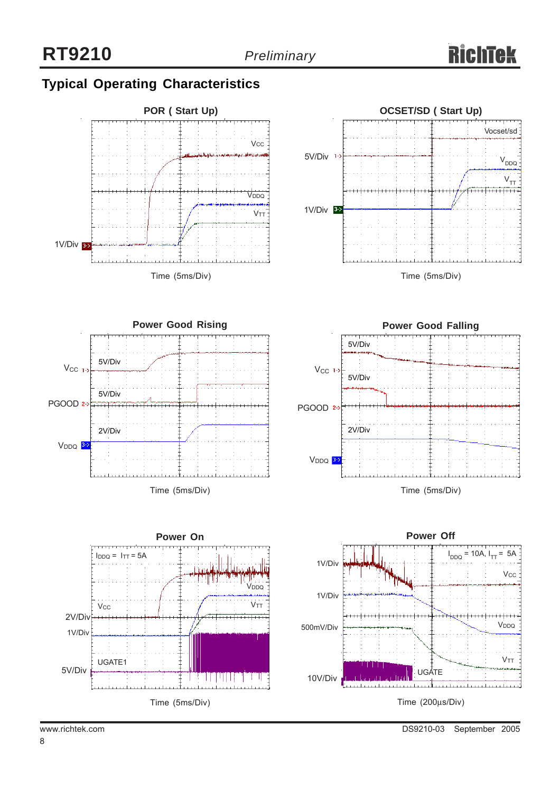# **Typical Operating Characteristics**











DS9210-03 September 2005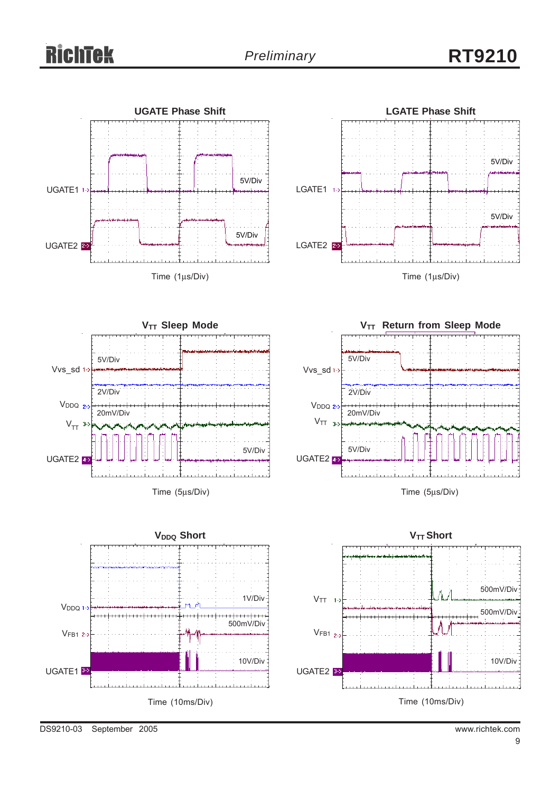# Richtek











Time (5μs/Div)

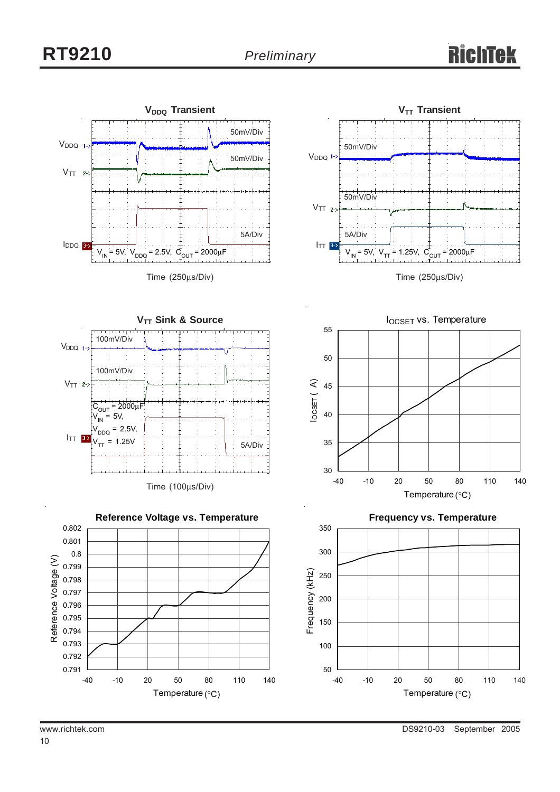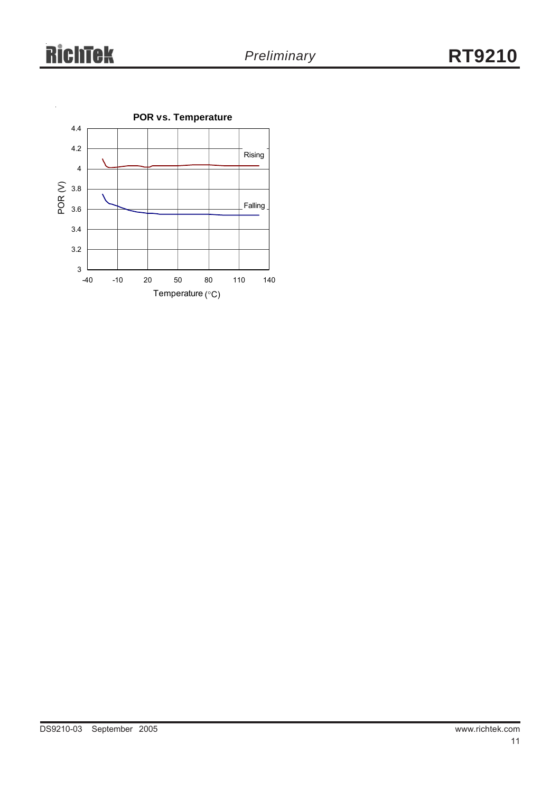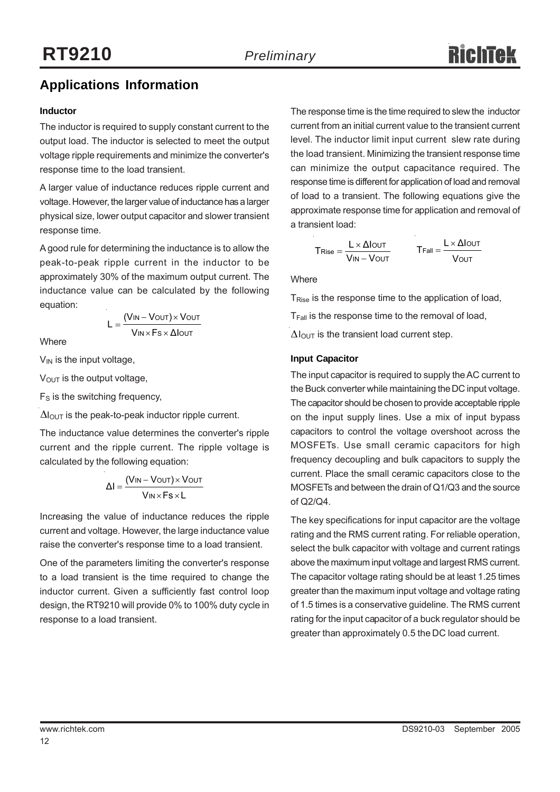# **Applications Information**

#### **Inductor**

The inductor is required to supply constant current to the output load. The inductor is selected to meet the output voltage ripple requirements and minimize the converter's response time to the load transient.

A larger value of inductance reduces ripple current and voltage. However, the larger value of inductance has a larger physical size, lower output capacitor and slower transient response time.

A good rule for determining the inductance is to allow the peak-to-peak ripple current in the inductor to be approximately 30% of the maximum output current. The inductance value can be calculated by the following equation:

**Where** 

$$
L = \frac{(V_{IN} - V_{OUT}) \times V_{OUT}}{V_{IN} \times F_s \times \Delta I_{OUT}}
$$

 $V_{IN}$  is the input voltage,

V<sub>OUT</sub> is the output voltage,

 $F<sub>S</sub>$  is the switching frequency,

 $\Delta I_{\text{OUT}}$  is the peak-to-peak inductor ripple current.

The inductance value determines the converter's ripple current and the ripple current. The ripple voltage is calculated by the following equation:

$$
\Delta I = \frac{(V_{IN} - V_{OUT}) \times V_{OUT}}{V_{IN} \times Fs \times L}
$$

Increasing the value of inductance reduces the ripple current and voltage. However, the large inductance value raise the converter's response time to a load transient.

One of the parameters limiting the converter's response to a load transient is the time required to change the inductor current. Given a sufficiently fast control loop design, the RT9210 will provide 0% to 100% duty cycle in response to a load transient.

The response time is the time required to slew the inductor current from an initial current value to the transient current level. The inductor limit input current slew rate during the load transient. Minimizing the transient response time can minimize the output capacitance required. The response time is different for application of load and removal of load to a transient. The following equations give the approximate response time for application and removal of a transient load:

$$
T_{\text{Rise}} = \frac{L \times \Delta l_{\text{OUT}}}{V_{\text{IN}} - V_{\text{OUT}}}
$$
\n
$$
T_{\text{Fall}} = \frac{L \times \Delta l_{\text{OUT}}}{V_{\text{OUT}}}
$$

**Where** 

 $T<sub>Rise</sub>$  is the response time to the application of load,

 $T<sub>Fall</sub>$  is the response time to the removal of load,

 $\Delta I_{\text{OUT}}$  is the transient load current step.

#### **Input Capacitor**

The input capacitor is required to supply the AC current to the Buck converter while maintaining the DC input voltage. The capacitor should be chosen to provide acceptable ripple on the input supply lines. Use a mix of input bypass capacitors to control the voltage overshoot across the MOSFETs. Use small ceramic capacitors for high frequency decoupling and bulk capacitors to supply the current. Place the small ceramic capacitors close to the MOSFETs and between the drain of Q1/Q3 and the source of Q2/Q4.

The key specifications for input capacitor are the voltage rating and the RMS current rating. For reliable operation, select the bulk capacitor with voltage and current ratings above the maximum input voltage and largest RMS current. The capacitor voltage rating should be at least 1.25 times greater than the maximum input voltage and voltage rating of 1.5 times is a conservative guideline. The RMS current rating for the input capacitor of a buck regulator should be greater than approximately 0.5 the DC load current.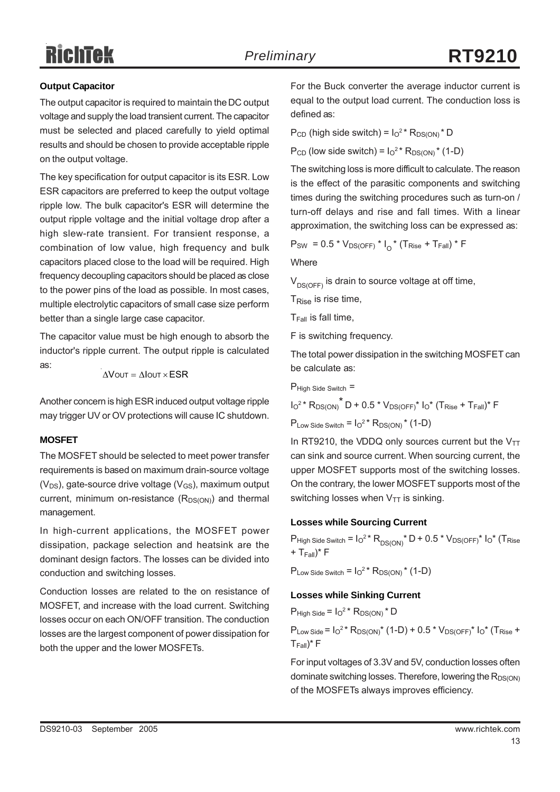# Richtek

#### **Output Capacitor**

The output capacitor is required to maintain the DC output voltage and supply the load transient current. The capacitor must be selected and placed carefully to yield optimal results and should be chosen to provide acceptable ripple on the output voltage.

The key specification for output capacitor is its ESR. Low ESR capacitors are preferred to keep the output voltage ripple low. The bulk capacitor's ESR will determine the output ripple voltage and the initial voltage drop after a high slew-rate transient. For transient response, a combination of low value, high frequency and bulk capacitors placed close to the load will be required. High frequency decoupling capacitors should be placed as close to the power pins of the load as possible. In most cases, multiple electrolytic capacitors of small case size perform better than a single large case capacitor.

The capacitor value must be high enough to absorb the inductor's ripple current. The output ripple is calculated as:

$$
\Delta V \text{out} = \Delta I \text{out} \times ESR
$$

Another concern is high ESR induced output voltage ripple may trigger UV or OV protections will cause IC shutdown.

#### **MOSFET**

The MOSFET should be selected to meet power transfer requirements is based on maximum drain-source voltage  $(V_{DS})$ , gate-source drive voltage  $(V_{GS})$ , maximum output current, minimum on-resistance  $(R_{DS(ON)})$  and thermal management.

In high-current applications, the MOSFET power dissipation, package selection and heatsink are the dominant design factors. The losses can be divided into conduction and switching losses.

Conduction losses are related to the on resistance of MOSFET, and increase with the load current. Switching losses occur on each ON/OFF transition. The conduction losses are the largest component of power dissipation for both the upper and the lower MOSFETs.

For the Buck converter the average inductor current is equal to the output load current. The conduction loss is defined as:

 $P_{CD}$  (high side switch) =  $I_0^2$ <sup>\*</sup>  $R_{DS(ON)}$ <sup>\*</sup> D

 $P_{CD}$  (low side switch) =  $I_0^2$ <sup>\*</sup>  $R_{DS(ON)}$ <sup>\*</sup> (1-D)

The switching loss is more difficult to calculate. The reason is the effect of the parasitic components and switching times during the switching procedures such as turn-on / turn-off delays and rise and fall times. With a linear approximation, the switching loss can be expressed as:

 $P_{SW} = 0.5 * V_{DS(OFF)} * I_0 * (T_{Rise} + T_{Fall}) * F$ 

**Where** 

 $V_{DS(OFF)}$  is drain to source voltage at off time,

TRise is rise time,

 $T_{Fall}$  is fall time,

F is switching frequency.

The total power dissipation in the switching MOSFET can be calculate as:

 $P$ High Side Switch  $=$ 

 $I_0^2$ \* R<sub>DS(ON)</sub>\* D + 0.5 \* V<sub>DS(OFF)</sub>\*  $I_0^*$  (T<sub>Rise</sub> + T<sub>Fall</sub>)\* F

 $P_{Low \, Side \, Switch} = I_0^{2*} R_{DS(ON)} * (1-D)$ 

In RT9210, the VDDQ only sources current but the  $V_{TT}$ can sink and source current. When sourcing current, the upper MOSFET supports most of the switching losses. On the contrary, the lower MOSFET supports most of the switching losses when  $V_{TT}$  is sinking.

#### **Losses while Sourcing Current**

 $P$ High Side Switch =  $I_0^2$ \*  $R_{DS(ON)}$ \* D + 0.5 \*  $V_{DS(OFF)}$ \*  $I_0$ \* (T $R$ ise  $+$  T<sub>Eall</sub>)\* F

 $P_{Low Side Switch} = I_0^2 * R_{DS(ON)} * (1-D)$ 

#### **Losses while Sinking Current**

 $P_{High Side} = I<sub>O</sub><sup>2</sup> * R<sub>DS(ON)</sub> * D$ 

 $P_{Low \, Side} = I_0^{2*} R_{DS(ON)}^{*} (1-D) + 0.5 * V_{DS(OFF)}^{*} I_0^{*} (T_{Rise} +$ TFall)\* F

For input voltages of 3.3V and 5V, conduction losses often dominate switching losses. Therefore, lowering the  $R_{DS(ON)}$ of the MOSFETs always improves efficiency.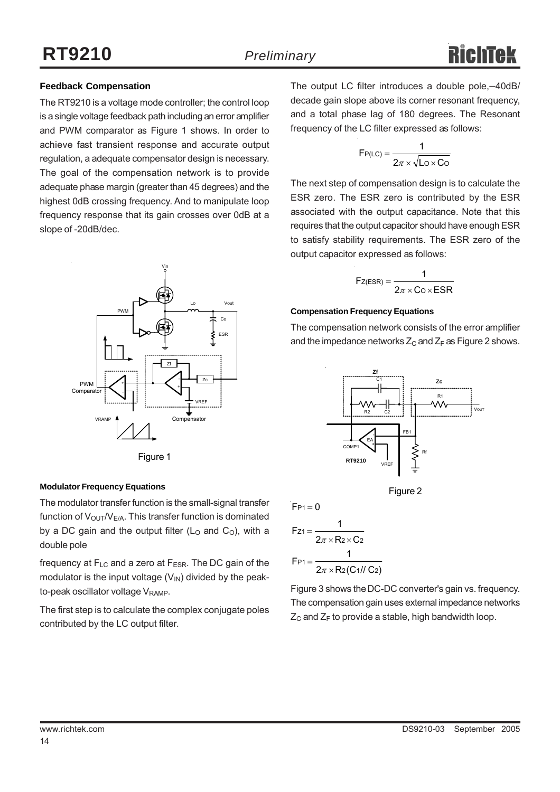#### **Feedback Compensation**

The RT9210 is a voltage mode controller; the control loop is a single voltage feedback path including an error amplifier and PWM comparator as Figure 1 shows. In order to achieve fast transient response and accurate output regulation, a adequate compensator design is necessary. The goal of the compensation network is to provide adequate phase margin (greater than 45 degrees) and the highest 0dB crossing frequency. And to manipulate loop frequency response that its gain crosses over 0dB at a slope of -20dB/dec.





#### **Modulator Frequency Equations**

The modulator transfer function is the small-signal transfer function of  $V_{\text{OUT}}/V_{\text{E/A}}$ . This transfer function is dominated by a DC gain and the output filter ( $L<sub>O</sub>$  and  $C<sub>O</sub>$ ), with a double pole

frequency at  $F_{LC}$  and a zero at  $F_{ESR}$ . The DC gain of the modulator is the input voltage  $(V_{\text{IN}})$  divided by the peakto-peak oscillator voltage V<sub>RAMP</sub>.

The first step is to calculate the complex conjugate poles contributed by the LC output filter.

The output LC filter introduces a double pole,−40dB/ decade gain slope above its corner resonant frequency, and a total phase lag of 180 degrees. The Resonant frequency of the LC filter expressed as follows:

$$
F_{P(LC)} = \frac{1}{2\pi \times \sqrt{L_0 \times C_0}}
$$

The next step of compensation design is to calculate the ESR zero. The ESR zero is contributed by the ESR associated with the output capacitance. Note that this requires that the output capacitor should have enough ESR to satisfy stability requirements. The ESR zero of the output capacitor expressed as follows:

$$
F_{Z(ESR)} = \frac{1}{2\pi \times C_0 \times ESR}
$$

#### **Compensation Frequency Equations**

The compensation network consists of the error amplifier and the impedance networks  $Z_c$  and  $Z_F$  as Figure 2 shows.





$$
F_{P1} = 0
$$
\n
$$
F_{Z1} = \frac{1}{2\pi \times R_2 \times C_2}
$$
\n
$$
F_{P1} = \frac{1}{2\pi \times R_2(C_1//C_2)}
$$

Figure 3 shows the DC-DC converter's gain vs. frequency. The compensation gain uses external impedance networks  $Z_c$  and  $Z_F$  to provide a stable, high bandwidth loop.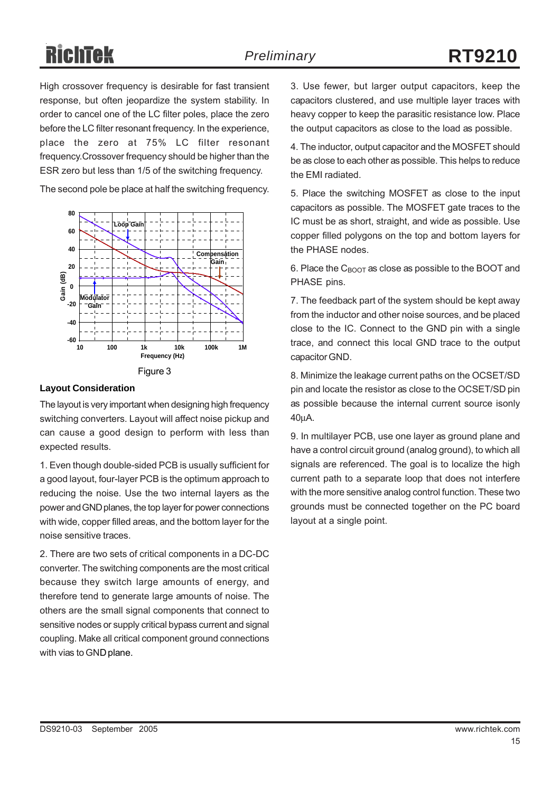High crossover frequency is desirable for fast transient response, but often jeopardize the system stability. In order to cancel one of the LC filter poles, place the zero before the LC filter resonant frequency. In the experience, place the zero at 75% LC filter resonant frequency.Crossover frequency should be higher than the ESR zero but less than 1/5 of the switching frequency.

The second pole be place at half the switching frequency.



#### **Layout Consideration**

The layout is very important when designing high frequency switching converters. Layout will affect noise pickup and can cause a good design to perform with less than expected results.

1. Even though double-sided PCB is usually sufficient for a good layout, four-layer PCB is the optimum approach to reducing the noise. Use the two internal layers as the power and GND planes, the top layer for power connections with wide, copper filled areas, and the bottom layer for the noise sensitive traces.

2. There are two sets of critical components in a DC-DC converter. The switching components are the most critical because they switch large amounts of energy, and therefore tend to generate large amounts of noise. The others are the small signal components that connect to sensitive nodes or supply critical bypass current and signal coupling. Make all critical component ground connections with vias to GND plane.

3. Use fewer, but larger output capacitors, keep the capacitors clustered, and use multiple layer traces with heavy copper to keep the parasitic resistance low. Place the output capacitors as close to the load as possible.

4. The inductor, output capacitor and the MOSFET should be as close to each other as possible. This helps to reduce the EMI radiated.

5. Place the switching MOSFET as close to the input capacitors as possible. The MOSFET gate traces to the IC must be as short, straight, and wide as possible. Use copper filled polygons on the top and bottom layers for the PHASE nodes.

6. Place the  $C_{\text{BOOT}}$  as close as possible to the BOOT and PHASE pins.

7. The feedback part of the system should be kept away from the inductor and other noise sources, and be placed close to the IC. Connect to the GND pin with a single trace, and connect this local GND trace to the output capacitor GND.

8. Minimize the leakage current paths on the OCSET/SD pin and locate the resistor as close to the OCSET/SD pin as possible because the internal current source isonly 40μA.

9. In multilayer PCB, use one layer as ground plane and have a control circuit ground (analog ground), to which all signals are referenced. The goal is to localize the high current path to a separate loop that does not interfere with the more sensitive analog control function. These two grounds must be connected together on the PC board layout at a single point.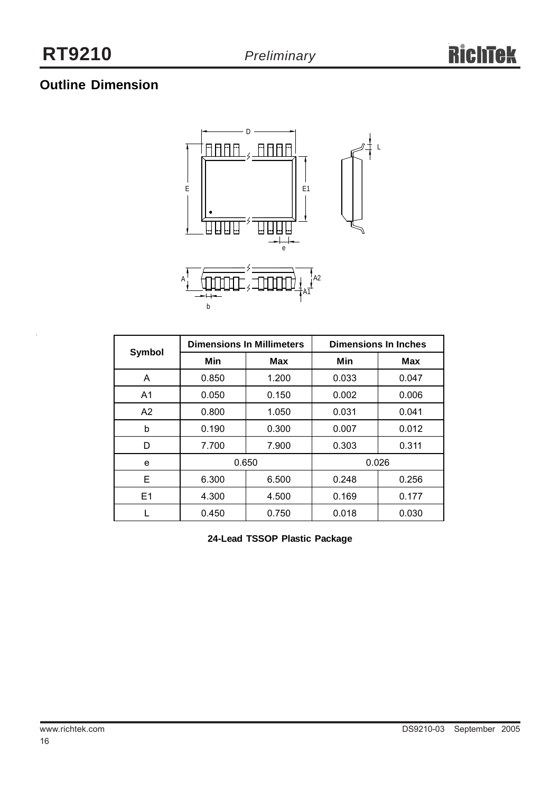# **Outline Dimension**



|                |       | <b>Dimensions In Millimeters</b> | <b>Dimensions In Inches</b> |            |  |
|----------------|-------|----------------------------------|-----------------------------|------------|--|
| <b>Symbol</b>  | Min   | <b>Max</b>                       | Min                         | <b>Max</b> |  |
| A              | 0.850 | 1.200                            | 0.033                       | 0.047      |  |
| A <sub>1</sub> | 0.050 | 0.150                            | 0.002                       | 0.006      |  |
| A2             | 0.800 | 1.050                            | 0.031                       | 0.041      |  |
| b              | 0.190 | 0.300                            | 0.007                       | 0.012      |  |
| D              | 7.700 | 7.900                            | 0.303                       | 0.311      |  |
| e              | 0.650 |                                  | 0.026                       |            |  |
| Е              | 6.300 | 6.500<br>0.248                   |                             | 0.256      |  |
| E1             | 4.300 | 0.169<br>4.500                   |                             | 0.177      |  |
|                | 0.450 | 0.750                            | 0.018                       | 0.030      |  |

**24-Lead TSSOP Plastic Package**